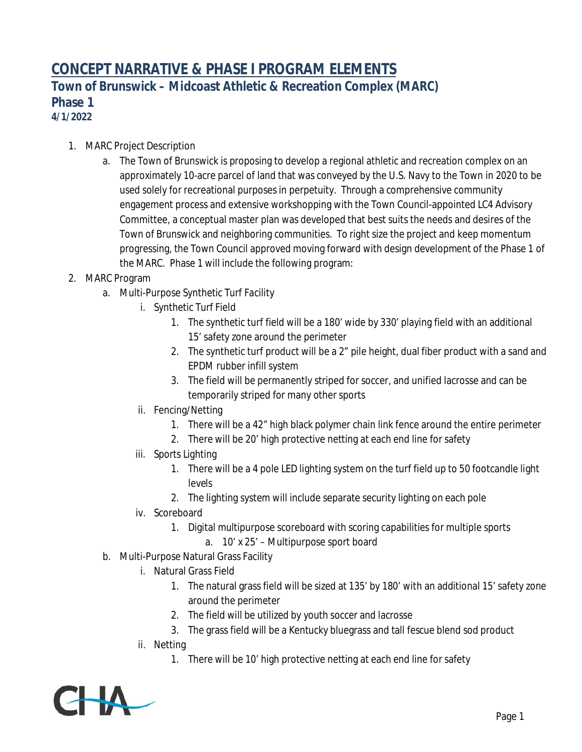## **CONCEPT NARRATIVE & PHASE I PROGRAM ELEMENTS**

**Town of Brunswick – Midcoast Athletic & Recreation Complex (MARC) Phase 1 4/1/2022**

- 1. MARC Project Description
	- a. The Town of Brunswick is proposing to develop a regional athletic and recreation complex on an approximately 10-acre parcel of land that was conveyed by the U.S. Navy to the Town in 2020 to be used solely for recreational purposes in perpetuity. Through a comprehensive community engagement process and extensive workshopping with the Town Council-appointed LC4 Advisory Committee, a conceptual master plan was developed that best suits the needs and desires of the Town of Brunswick and neighboring communities. To right size the project and keep momentum progressing, the Town Council approved moving forward with design development of the Phase 1 of the MARC. Phase 1 will include the following program:
- 2. MARC Program
	- a. Multi-Purpose Synthetic Turf Facility
		- i. Synthetic Turf Field
			- 1. The synthetic turf field will be a 180' wide by 330' playing field with an additional 15' safety zone around the perimeter
			- 2. The synthetic turf product will be a 2" pile height, dual fiber product with a sand and EPDM rubber infill system
			- 3. The field will be permanently striped for soccer, and unified lacrosse and can be temporarily striped for many other sports
		- ii. Fencing/Netting
			- 1. There will be a 42" high black polymer chain link fence around the entire perimeter
			- 2. There will be 20' high protective netting at each end line for safety
		- iii. Sports Lighting
			- 1. There will be a 4 pole LED lighting system on the turf field up to 50 footcandle light levels
			- 2. The lighting system will include separate security lighting on each pole
		- iv. Scoreboard
			- 1. Digital multipurpose scoreboard with scoring capabilities for multiple sports
				- a. 10' x 25' Multipurpose sport board
	- b. Multi-Purpose Natural Grass Facility
		- i. Natural Grass Field
			- 1. The natural grass field will be sized at 135' by 180' with an additional 15' safety zone around the perimeter
			- 2. The field will be utilized by youth soccer and lacrosse
			- 3. The grass field will be a Kentucky bluegrass and tall fescue blend sod product
		- ii. Netting
			- 1. There will be 10' high protective netting at each end line for safety

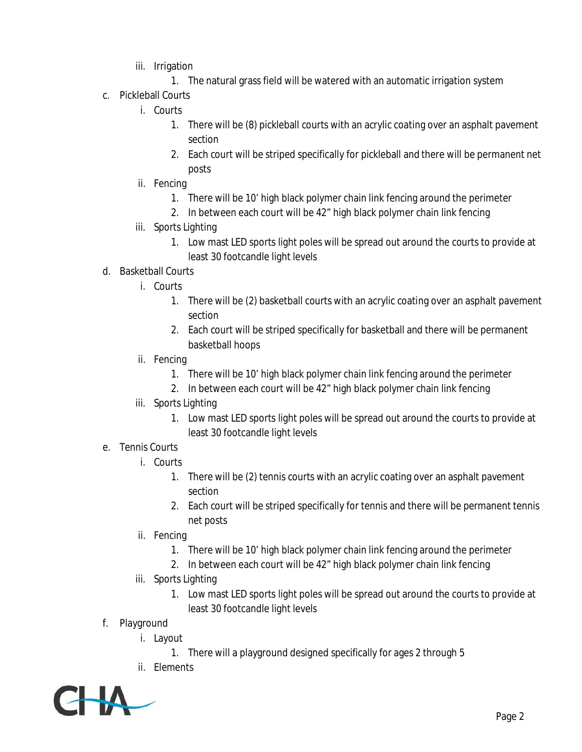- iii. Irrigation
	- 1. The natural grass field will be watered with an automatic irrigation system
- c. Pickleball Courts
	- i. Courts
		- 1. There will be (8) pickleball courts with an acrylic coating over an asphalt pavement section
		- 2. Each court will be striped specifically for pickleball and there will be permanent net posts
	- ii. Fencing
		- 1. There will be 10' high black polymer chain link fencing around the perimeter
		- 2. In between each court will be 42" high black polymer chain link fencing
	- iii. Sports Lighting
		- 1. Low mast LED sports light poles will be spread out around the courts to provide at least 30 footcandle light levels
- d. Basketball Courts
	- i. Courts
		- 1. There will be (2) basketball courts with an acrylic coating over an asphalt pavement section
		- 2. Each court will be striped specifically for basketball and there will be permanent basketball hoops
	- ii. Fencing
		- 1. There will be 10' high black polymer chain link fencing around the perimeter
		- 2. In between each court will be 42" high black polymer chain link fencing
	- iii. Sports Lighting
		- 1. Low mast LED sports light poles will be spread out around the courts to provide at least 30 footcandle light levels
- e. Tennis Courts
	- i. Courts
		- 1. There will be (2) tennis courts with an acrylic coating over an asphalt pavement section
		- 2. Each court will be striped specifically for tennis and there will be permanent tennis net posts
	- ii. Fencing
		- 1. There will be 10' high black polymer chain link fencing around the perimeter
		- 2. In between each court will be 42" high black polymer chain link fencing
	- iii. Sports Lighting
		- 1. Low mast LED sports light poles will be spread out around the courts to provide at least 30 footcandle light levels
- f. Playground
	- i. Layout
		- 1. There will a playground designed specifically for ages 2 through 5
	- ii. Elements

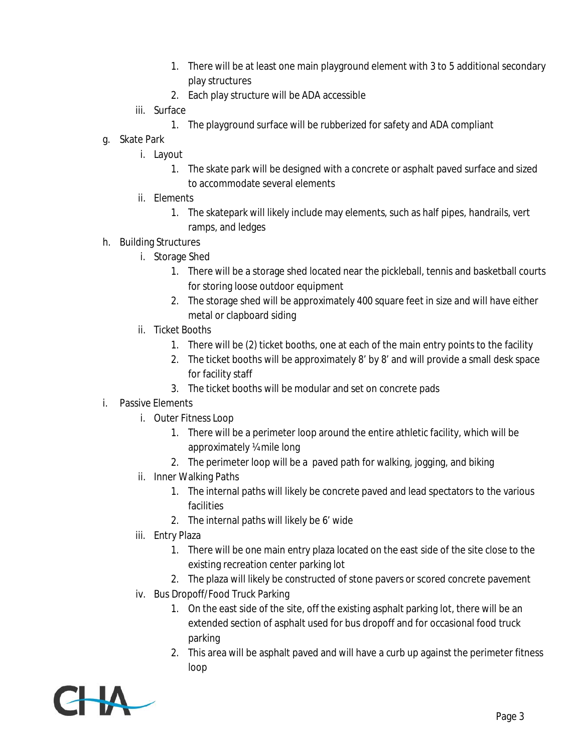- 1. There will be at least one main playground element with 3 to 5 additional secondary play structures
- 2. Each play structure will be ADA accessible
- iii. Surface
	- 1. The playground surface will be rubberized for safety and ADA compliant
- g. Skate Park
	- i. Layout
		- 1. The skate park will be designed with a concrete or asphalt paved surface and sized to accommodate several elements
	- ii. Elements
		- 1. The skatepark will likely include may elements, such as half pipes, handrails, vert ramps, and ledges
- h. Building Structures
	- i. Storage Shed
		- 1. There will be a storage shed located near the pickleball, tennis and basketball courts for storing loose outdoor equipment
		- 2. The storage shed will be approximately 400 square feet in size and will have either metal or clapboard siding
	- ii. Ticket Booths
		- 1. There will be (2) ticket booths, one at each of the main entry points to the facility
		- 2. The ticket booths will be approximately 8' by 8' and will provide a small desk space for facility staff
		- 3. The ticket booths will be modular and set on concrete pads
- i. Passive Elements
	- i. Outer Fitness Loop
		- 1. There will be a perimeter loop around the entire athletic facility, which will be approximately ¼ mile long
		- 2. The perimeter loop will be a paved path for walking, jogging, and biking
	- ii. Inner Walking Paths
		- 1. The internal paths will likely be concrete paved and lead spectators to the various facilities
		- 2. The internal paths will likely be 6' wide
	- iii. Entry Plaza
		- 1. There will be one main entry plaza located on the east side of the site close to the existing recreation center parking lot
		- 2. The plaza will likely be constructed of stone pavers or scored concrete pavement
	- iv. Bus Dropoff/Food Truck Parking
		- 1. On the east side of the site, off the existing asphalt parking lot, there will be an extended section of asphalt used for bus dropoff and for occasional food truck parking
		- 2. This area will be asphalt paved and will have a curb up against the perimeter fitness loop

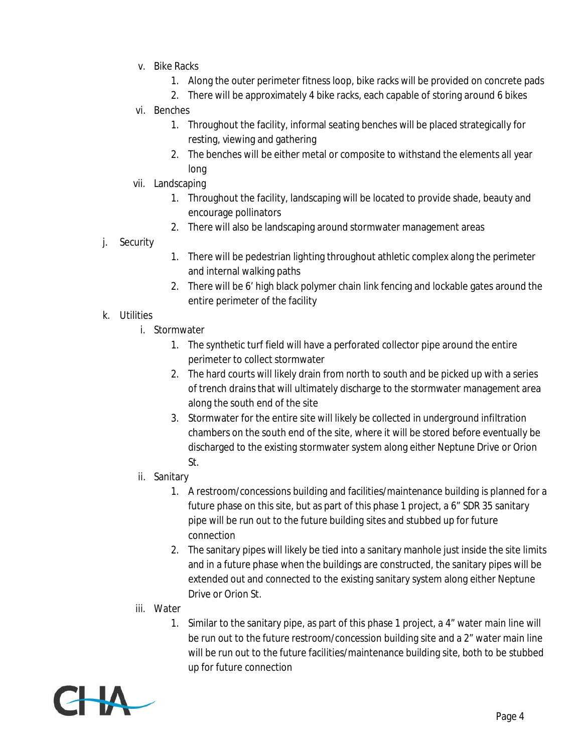- v. Bike Racks
	- 1. Along the outer perimeter fitness loop, bike racks will be provided on concrete pads
	- 2. There will be approximately 4 bike racks, each capable of storing around 6 bikes
- vi. Benches
	- 1. Throughout the facility, informal seating benches will be placed strategically for resting, viewing and gathering
	- 2. The benches will be either metal or composite to withstand the elements all year long
- vii. Landscaping
	- 1. Throughout the facility, landscaping will be located to provide shade, beauty and encourage pollinators
	- 2. There will also be landscaping around stormwater management areas
- j. Security
- 1. There will be pedestrian lighting throughout athletic complex along the perimeter and internal walking paths
- 2. There will be 6' high black polymer chain link fencing and lockable gates around the entire perimeter of the facility

## k. Utilities

- i. Stormwater
	- 1. The synthetic turf field will have a perforated collector pipe around the entire perimeter to collect stormwater
	- 2. The hard courts will likely drain from north to south and be picked up with a series of trench drains that will ultimately discharge to the stormwater management area along the south end of the site
	- 3. Stormwater for the entire site will likely be collected in underground infiltration chambers on the south end of the site, where it will be stored before eventually be discharged to the existing stormwater system along either Neptune Drive or Orion St.
- ii. Sanitary
	- 1. A restroom/concessions building and facilities/maintenance building is planned for a future phase on this site, but as part of this phase 1 project, a 6" SDR 35 sanitary pipe will be run out to the future building sites and stubbed up for future connection
	- 2. The sanitary pipes will likely be tied into a sanitary manhole just inside the site limits and in a future phase when the buildings are constructed, the sanitary pipes will be extended out and connected to the existing sanitary system along either Neptune Drive or Orion St.
- iii. Water
	- 1. Similar to the sanitary pipe, as part of this phase 1 project, a 4" water main line will be run out to the future restroom/concession building site and a 2" water main line will be run out to the future facilities/maintenance building site, both to be stubbed up for future connection